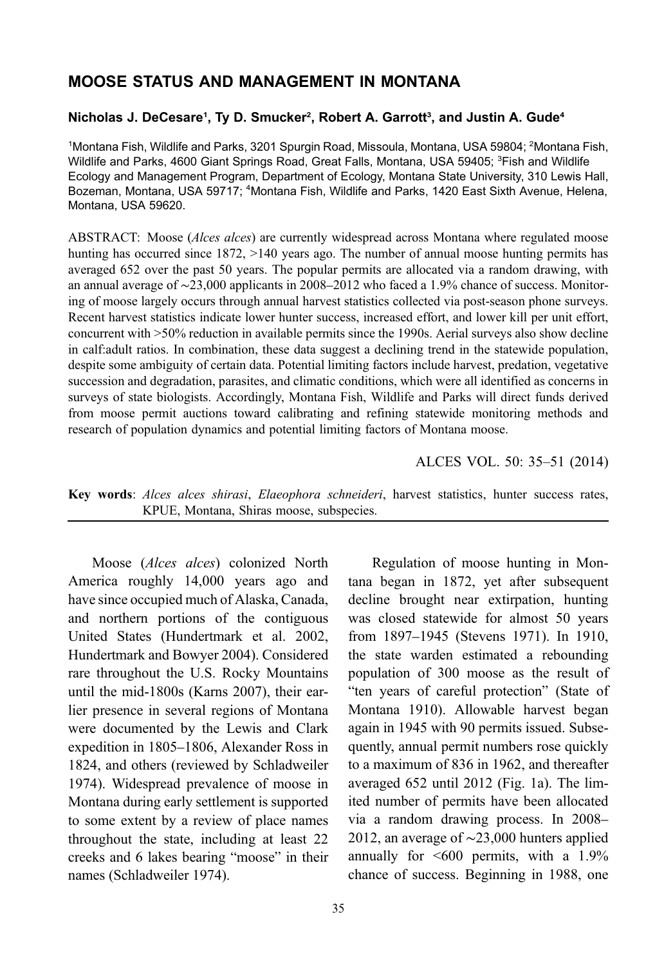# MOOSE STATUS AND MANAGEMENT IN MONTANA

# Nicholas J. DeCesare<sup>1</sup>, Ty D. Smucker<sup>2</sup>, Robert A. Garrott<sup>3</sup>, and Justin A. Gude<sup>4</sup>

1Montana Fish, Wildlife and Parks, 3201 Spurgin Road, Missoula, Montana, USA 59804; <sup>2</sup>Montana Fish, Wildlife and Parks, 4600 Giant Springs Road, Great Falls, Montana, USA 59405; <sup>3</sup>Fish and Wildlife Ecology and Management Program, Department of Ecology, Montana State University, 310 Lewis Hall, Bozeman, Montana, USA 59717; <sup>4</sup>Montana Fish, Wildlife and Parks, 1420 East Sixth Avenue, Helena, Montana, USA 59620.

ABSTRACT: Moose (*Alces alces*) are currently widespread across Montana where regulated moose hunting has occurred since 1872,  $>140$  years ago. The number of annual moose hunting permits has averaged 652 over the past 50 years. The popular permits are allocated via a random drawing, with an annual average of ∼23,000 applicants in 2008–2012 who faced a 1.9% chance of success. Monitoring of moose largely occurs through annual harvest statistics collected via post-season phone surveys. Recent harvest statistics indicate lower hunter success, increased effort, and lower kill per unit effort, concurrent with >50% reduction in available permits since the 1990s. Aerial surveys also show decline in calf:adult ratios. In combination, these data suggest a declining trend in the statewide population, despite some ambiguity of certain data. Potential limiting factors include harvest, predation, vegetative succession and degradation, parasites, and climatic conditions, which were all identified as concerns in surveys of state biologists. Accordingly, Montana Fish, Wildlife and Parks will direct funds derived from moose permit auctions toward calibrating and refining statewide monitoring methods and research of population dynamics and potential limiting factors of Montana moose.

ALCES VOL. 50: 35–51 (2014)

Key words: Alces alces shirasi, Elaeophora schneideri, harvest statistics, hunter success rates, KPUE, Montana, Shiras moose, subspecies.

Moose (Alces alces) colonized North America roughly 14,000 years ago and have since occupied much of Alaska, Canada, and northern portions of the contiguous United States (Hundertmark et al. 2002, Hundertmark and Bowyer 2004). Considered rare throughout the U.S. Rocky Mountains until the mid-1800s (Karns 2007), their earlier presence in several regions of Montana were documented by the Lewis and Clark expedition in 1805–1806, Alexander Ross in 1824, and others (reviewed by Schladweiler 1974). Widespread prevalence of moose in Montana during early settlement is supported to some extent by a review of place names throughout the state, including at least 22 creeks and 6 lakes bearing "moose" in their names (Schladweiler 1974).

Regulation of moose hunting in Montana began in 1872, yet after subsequent decline brought near extirpation, hunting was closed statewide for almost 50 years from 1897–1945 (Stevens 1971). In 1910, the state warden estimated a rebounding population of 300 moose as the result of "ten years of careful protection" (State of Montana 1910). Allowable harvest began again in 1945 with 90 permits issued. Subsequently, annual permit numbers rose quickly to a maximum of 836 in 1962, and thereafter averaged 652 until 2012 [\(Fig. 1a](#page-1-0)). The limited number of permits have been allocated via a random drawing process. In 2008– 2012, an average of ∼23,000 hunters applied annually for  $\leq 600$  permits, with a 1.9% chance of success. Beginning in 1988, one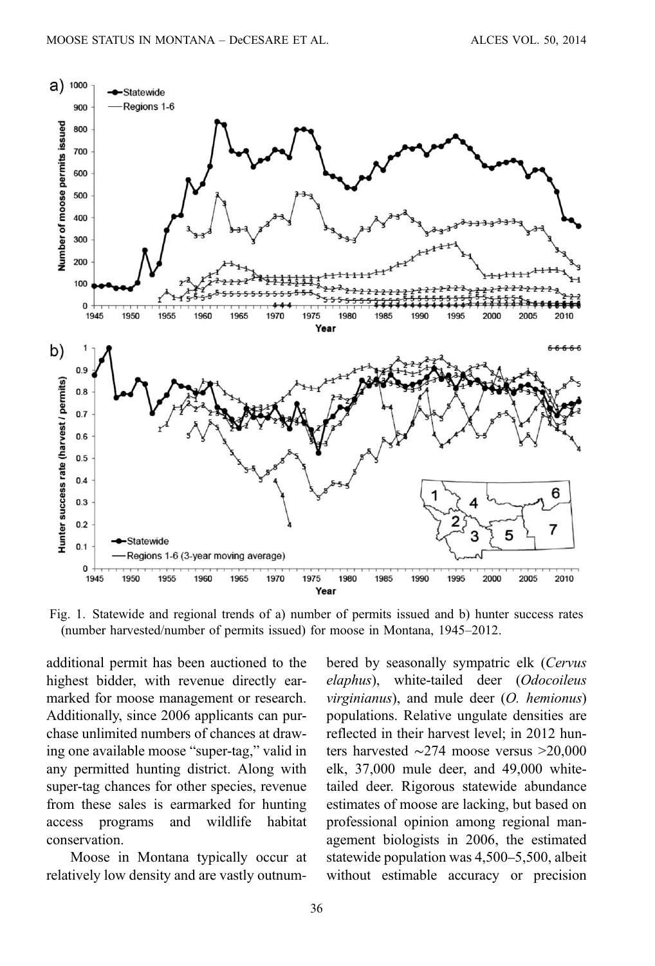<span id="page-1-0"></span>

Fig. 1. Statewide and regional trends of a) number of permits issued and b) hunter success rates (number harvested/number of permits issued) for moose in Montana, 1945–2012.

additional permit has been auctioned to the highest bidder, with revenue directly earmarked for moose management or research. Additionally, since 2006 applicants can purchase unlimited numbers of chances at drawing one available moose "super-tag," valid in any permitted hunting district. Along with super-tag chances for other species, revenue from these sales is earmarked for hunting access programs and wildlife habitat conservation.

Moose in Montana typically occur at relatively low density and are vastly outnum‐ bered by seasonally sympatric elk (Cervus elaphus), white-tailed deer (Odocoileus  $virginianus$ , and mule deer  $(O.$  hemionus) populations. Relative ungulate densities are reflected in their harvest level; in 2012 hunters harvested ∼274 moose versus >20,000 elk, 37,000 mule deer, and 49,000 whitetailed deer. Rigorous statewide abundance estimates of moose are lacking, but based on professional opinion among regional management biologists in 2006, the estimated statewide population was 4,500–5,500, albeit without estimable accuracy or precision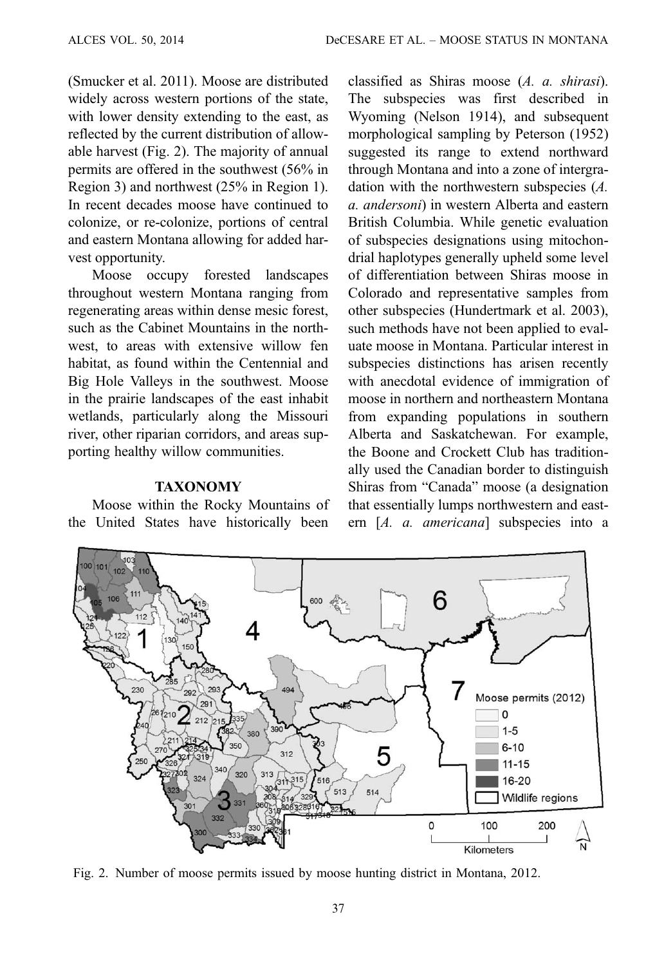(Smucker et al. 2011). Moose are distributed widely across western portions of the state, with lower density extending to the east, as reflected by the current distribution of allowable harvest (Fig. 2). The majority of annual permits are offered in the southwest (56% in Region 3) and northwest (25% in Region 1). In recent decades moose have continued to colonize, or re-colonize, portions of central and eastern Montana allowing for added harvest opportunity.

Moose occupy forested landscapes throughout western Montana ranging from regenerating areas within dense mesic forest, such as the Cabinet Mountains in the northwest, to areas with extensive willow fen habitat, as found within the Centennial and Big Hole Valleys in the southwest. Moose in the prairie landscapes of the east inhabit wetlands, particularly along the Missouri river, other riparian corridors, and areas supporting healthy willow communities.

#### **TAXONOMY**

Moose within the Rocky Mountains of the United States have historically been

classified as Shiras moose (A. a. shirasi). The subspecies was first described in Wyoming (Nelson 1914), and subsequent morphological sampling by Peterson (1952) suggested its range to extend northward through Montana and into a zone of intergradation with the northwestern subspecies (A. a. andersoni) in western Alberta and eastern British Columbia. While genetic evaluation of subspecies designations using mitochondrial haplotypes generally upheld some level of differentiation between Shiras moose in Colorado and representative samples from other subspecies (Hundertmark et al. 2003), such methods have not been applied to evaluate moose in Montana. Particular interest in subspecies distinctions has arisen recently with anecdotal evidence of immigration of moose in northern and northeastern Montana from expanding populations in southern Alberta and Saskatchewan. For example, the Boone and Crockett Club has traditionally used the Canadian border to distinguish Shiras from "Canada" moose (a designation that essentially lumps northwestern and eastern [A. a. americana] subspecies into a



Fig. 2. Number of moose permits issued by moose hunting district in Montana, 2012.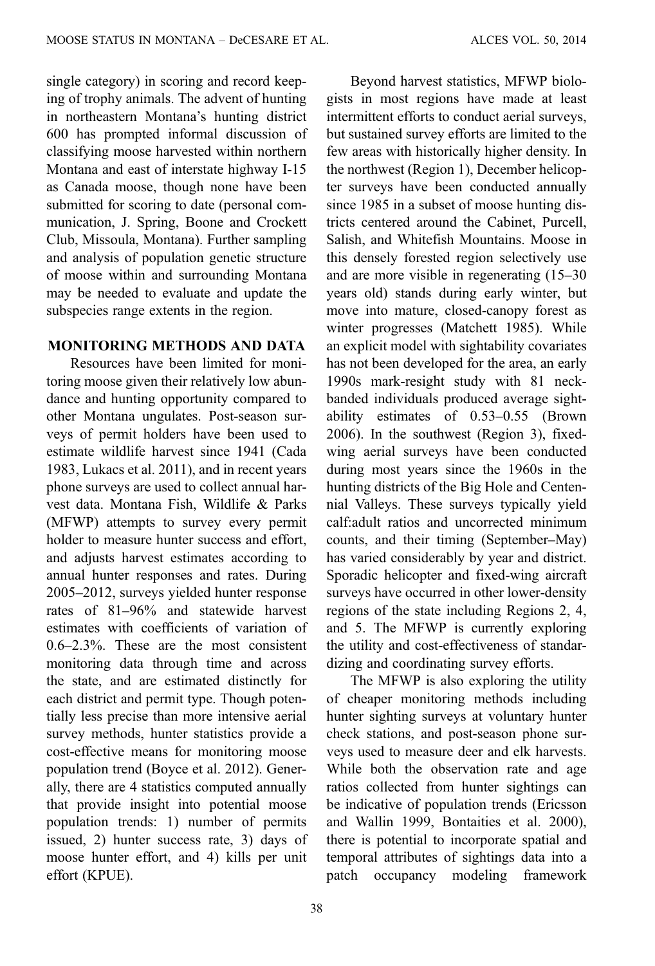single category) in scoring and record keeping of trophy animals. The advent of hunting in northeastern Montana's hunting district 600 has prompted informal discussion of classifying moose harvested within northern Montana and east of interstate highway I-15 as Canada moose, though none have been submitted for scoring to date (personal communication, J. Spring, Boone and Crockett Club, Missoula, Montana). Further sampling and analysis of population genetic structure of moose within and surrounding Montana may be needed to evaluate and update the subspecies range extents in the region.

### MONITORING METHODS AND DATA

Resources have been limited for monitoring moose given their relatively low abundance and hunting opportunity compared to other Montana ungulates. Post-season surveys of permit holders have been used to estimate wildlife harvest since 1941 (Cada 1983, Lukacs et al. 2011), and in recent years phone surveys are used to collect annual harvest data. Montana Fish, Wildlife & Parks (MFWP) attempts to survey every permit holder to measure hunter success and effort, and adjusts harvest estimates according to annual hunter responses and rates. During 2005–2012, surveys yielded hunter response rates of 81–96% and statewide harvest estimates with coefficients of variation of 0.6–2.3%. These are the most consistent monitoring data through time and across the state, and are estimated distinctly for each district and permit type. Though potentially less precise than more intensive aerial survey methods, hunter statistics provide a cost-effective means for monitoring moose population trend (Boyce et al. 2012). Generally, there are 4 statistics computed annually that provide insight into potential moose population trends: 1) number of permits issued, 2) hunter success rate, 3) days of moose hunter effort, and 4) kills per unit effort (KPUE).

38

Beyond harvest statistics, MFWP biologists in most regions have made at least intermittent efforts to conduct aerial surveys, but sustained survey efforts are limited to the few areas with historically higher density. In the northwest (Region 1), December helicopter surveys have been conducted annually since 1985 in a subset of moose hunting districts centered around the Cabinet, Purcell, Salish, and Whitefish Mountains. Moose in this densely forested region selectively use and are more visible in regenerating (15–30 years old) stands during early winter, but move into mature, closed-canopy forest as winter progresses (Matchett 1985). While an explicit model with sightability covariates has not been developed for the area, an early 1990s mark-resight study with 81 neckbanded individuals produced average sightability estimates of 0.53–0.55 (Brown 2006). In the southwest (Region 3), fixedwing aerial surveys have been conducted during most years since the 1960s in the hunting districts of the Big Hole and Centennial Valleys. These surveys typically yield calf:adult ratios and uncorrected minimum counts, and their timing (September–May) has varied considerably by year and district. Sporadic helicopter and fixed-wing aircraft surveys have occurred in other lower-density regions of the state including Regions 2, 4, and 5. The MFWP is currently exploring the utility and cost-effectiveness of standardizing and coordinating survey efforts.

The MFWP is also exploring the utility of cheaper monitoring methods including hunter sighting surveys at voluntary hunter check stations, and post-season phone surveys used to measure deer and elk harvests. While both the observation rate and age ratios collected from hunter sightings can be indicative of population trends (Ericsson and Wallin 1999, Bontaities et al. 2000), there is potential to incorporate spatial and temporal attributes of sightings data into a patch occupancy modeling framework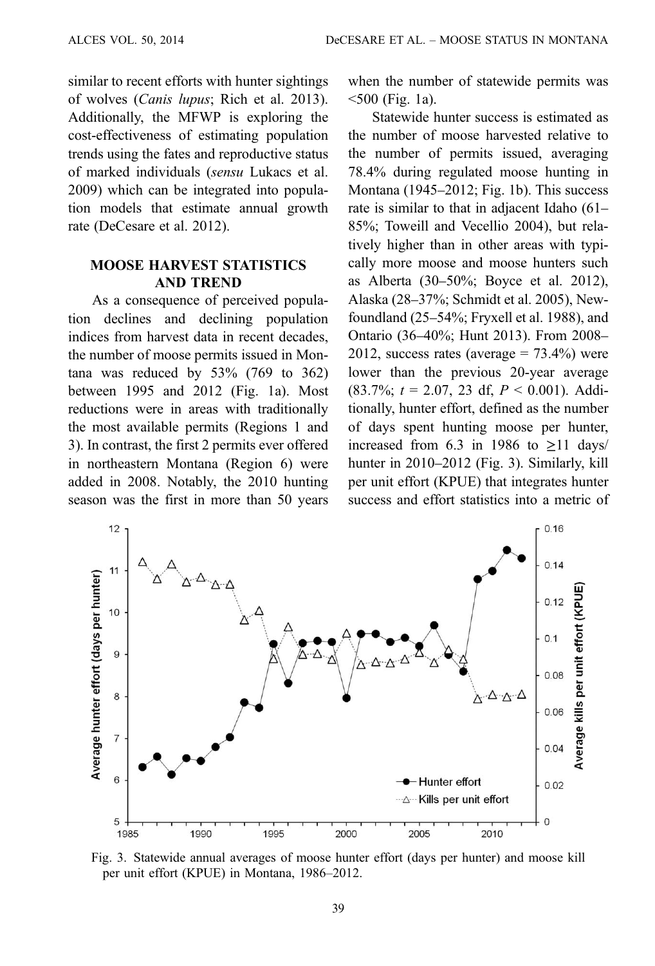<span id="page-4-0"></span>similar to recent efforts with hunter sightings of wolves (Canis lupus; Rich et al. 2013). Additionally, the MFWP is exploring the cost-effectiveness of estimating population trends using the fates and reproductive status of marked individuals (sensu Lukacs et al. 2009) which can be integrated into population models that estimate annual growth rate (DeCesare et al. 2012).

## MOOSE HARVEST STATISTICS AND TREND

As a consequence of perceived population declines and declining population indices from harvest data in recent decades, the number of moose permits issued in Montana was reduced by  $53\%$  (769 to 362) between 1995 and 2012 ([Fig. 1a\)](#page-1-0). Most reductions were in areas with traditionally the most available permits (Regions 1 and 3). In contrast, the first 2 permits ever offered in northeastern Montana (Region 6) were added in 2008. Notably, the 2010 hunting season was the first in more than 50 years when the number of statewide permits was <500 [\(Fig. 1a\)](#page-1-0).

Statewide hunter success is estimated as the number of moose harvested relative to the number of permits issued, averaging 78.4% during regulated moose hunting in Montana (1945–2012; [Fig. 1b\)](#page-1-0). This success rate is similar to that in adjacent Idaho (61– 85%; Toweill and Vecellio 2004), but relatively higher than in other areas with typically more moose and moose hunters such as Alberta (30–50%; Boyce et al. 2012), Alaska (28–37%; Schmidt et al. 2005), Newfoundland (25–54%; Fryxell et al. 1988), and Ontario (36–40%; Hunt 2013). From 2008– 2012, success rates (average  $= 73.4\%$ ) were lower than the previous 20-year average  $(83.7\%; t = 2.07, 23 \text{ df}, P < 0.001)$ . Additionally, hunter effort, defined as the number of days spent hunting moose per hunter, increased from 6.3 in 1986 to  $\geq$ 11 days/ hunter in 2010–2012 (Fig. 3). Similarly, kill per unit effort (KPUE) that integrates hunter success and effort statistics into a metric of



Fig. 3. Statewide annual averages of moose hunter effort (days per hunter) and moose kill per unit effort (KPUE) in Montana, 1986–2012.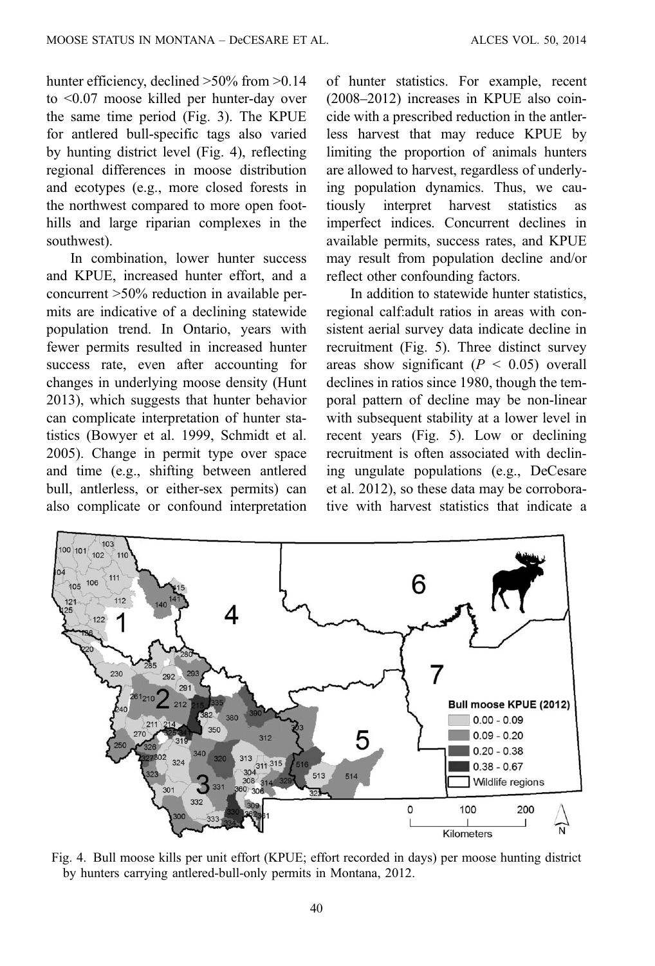hunter efficiency, declined  $>50\%$  from  $>0.14$ to <0.07 moose killed per hunter-day over the same time period [\(Fig. 3](#page-4-0)). The KPUE for antlered bull-specific tags also varied by hunting district level (Fig. 4), reflecting regional differences in moose distribution and ecotypes (e.g., more closed forests in the northwest compared to more open foothills and large riparian complexes in the southwest).

In combination, lower hunter success and KPUE, increased hunter effort, and a concurrent >50% reduction in available permits are indicative of a declining statewide population trend. In Ontario, years with fewer permits resulted in increased hunter success rate, even after accounting for changes in underlying moose density (Hunt 2013), which suggests that hunter behavior can complicate interpretation of hunter statistics (Bowyer et al. 1999, Schmidt et al. 2005). Change in permit type over space and time (e.g., shifting between antlered bull, antlerless, or either-sex permits) can also complicate or confound interpretation

of hunter statistics. For example, recent (2008–2012) increases in KPUE also coincide with a prescribed reduction in the antlerless harvest that may reduce KPUE by limiting the proportion of animals hunters are allowed to harvest, regardless of underlying population dynamics. Thus, we cautiously interpret harvest statistics as imperfect indices. Concurrent declines in available permits, success rates, and KPUE may result from population decline and/or reflect other confounding factors.

In addition to statewide hunter statistics, regional calf:adult ratios in areas with consistent aerial survey data indicate decline in recruitment [\(Fig. 5](#page-6-0)). Three distinct survey areas show significant ( $P < 0.05$ ) overall declines in ratios since 1980, though the temporal pattern of decline may be non-linear with subsequent stability at a lower level in recent years ([Fig. 5\)](#page-6-0). Low or declining recruitment is often associated with declining ungulate populations (e.g., DeCesare et al. 2012), so these data may be corroborative with harvest statistics that indicate a



Fig. 4. Bull moose kills per unit effort (KPUE; effort recorded in days) per moose hunting district by hunters carrying antlered-bull-only permits in Montana, 2012.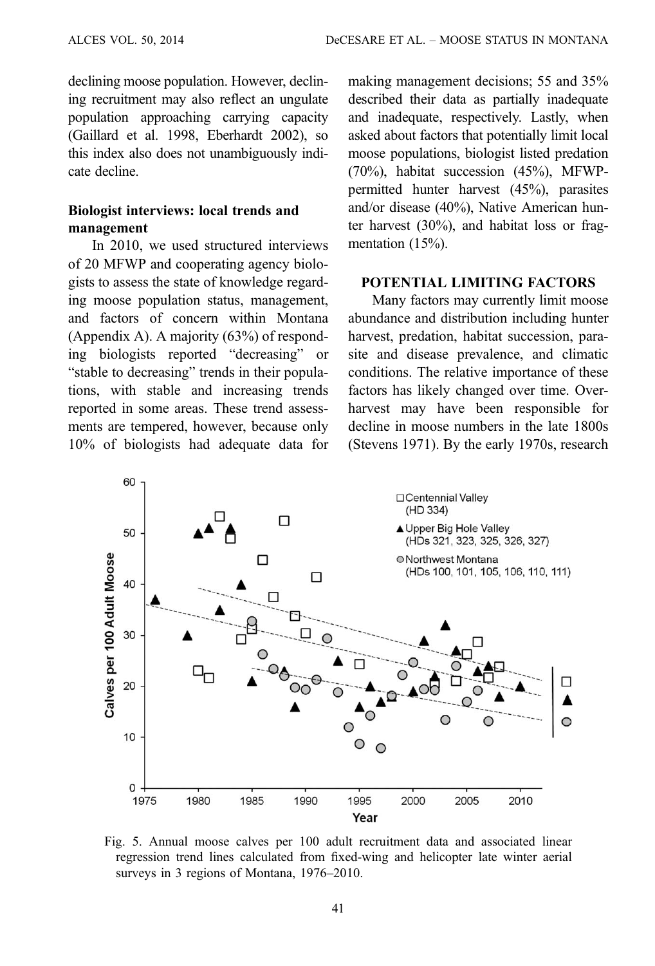<span id="page-6-0"></span>declining moose population. However, declining recruitment may also reflect an ungulate population approaching carrying capacity (Gaillard et al. 1998, Eberhardt 2002), so this index also does not unambiguously indicate decline.

# Biologist interviews: local trends and management

In 2010, we used structured interviews of 20 MFWP and cooperating agency biologists to assess the state of knowledge regarding moose population status, management, and factors of concern within Montana (Appendix A). A majority (63%) of responding biologists reported "decreasing" or "stable to decreasing" trends in their populations, with stable and increasing trends reported in some areas. These trend assessments are tempered, however, because only 10% of biologists had adequate data for making management decisions; 55 and 35% described their data as partially inadequate and inadequate, respectively. Lastly, when asked about factors that potentially limit local moose populations, biologist listed predation (70%), habitat succession (45%), MFWPpermitted hunter harvest (45%), parasites and/or disease (40%), Native American hunter harvest (30%), and habitat loss or fragmentation (15%).

### POTENTIAL LIMITING FACTORS

Many factors may currently limit moose abundance and distribution including hunter harvest, predation, habitat succession, parasite and disease prevalence, and climatic conditions. The relative importance of these factors has likely changed over time. Overharvest may have been responsible for decline in moose numbers in the late 1800s (Stevens 1971). By the early 1970s, research



Fig. 5. Annual moose calves per 100 adult recruitment data and associated linear regression trend lines calculated from fixed-wing and helicopter late winter aerial surveys in 3 regions of Montana, 1976–2010.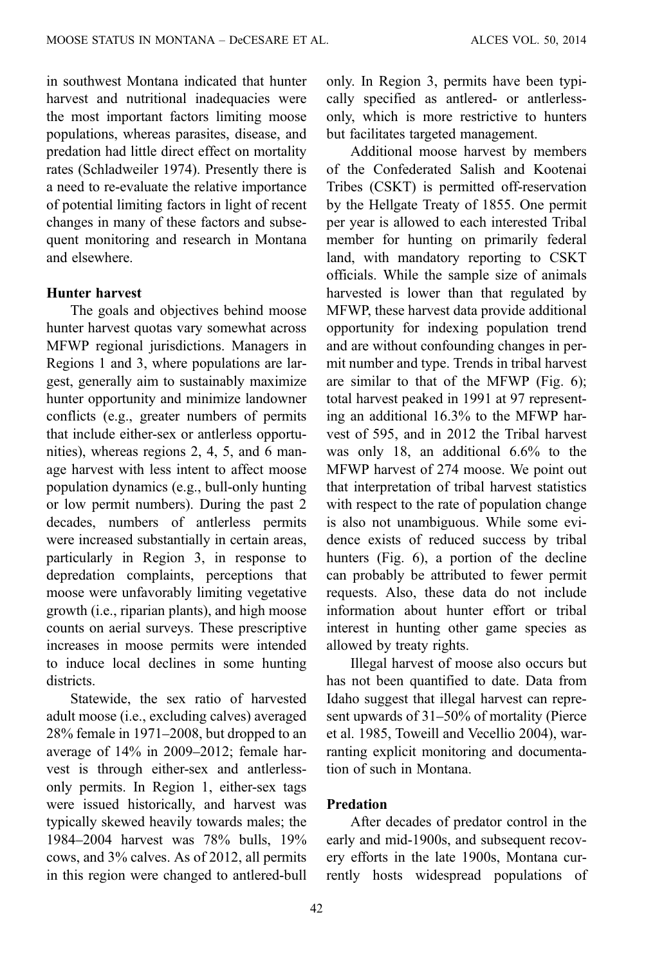in southwest Montana indicated that hunter harvest and nutritional inadequacies were the most important factors limiting moose populations, whereas parasites, disease, and predation had little direct effect on mortality rates (Schladweiler 1974). Presently there is a need to re-evaluate the relative importance of potential limiting factors in light of recent changes in many of these factors and subsequent monitoring and research in Montana and elsewhere.

## Hunter harvest

The goals and objectives behind moose hunter harvest quotas vary somewhat across MFWP regional jurisdictions. Managers in Regions 1 and 3, where populations are largest, generally aim to sustainably maximize hunter opportunity and minimize landowner conflicts (e.g., greater numbers of permits that include either-sex or antlerless opportunities), whereas regions 2, 4, 5, and 6 manage harvest with less intent to affect moose population dynamics (e.g., bull-only hunting or low permit numbers). During the past 2 decades, numbers of antlerless permits were increased substantially in certain areas, particularly in Region 3, in response to depredation complaints, perceptions that moose were unfavorably limiting vegetative growth (i.e., riparian plants), and high moose counts on aerial surveys. These prescriptive increases in moose permits were intended to induce local declines in some hunting districts.

Statewide, the sex ratio of harvested adult moose (i.e., excluding calves) averaged 28% female in 1971–2008, but dropped to an average of 14% in 2009–2012; female harvest is through either-sex and antlerlessonly permits. In Region 1, either-sex tags were issued historically, and harvest was typically skewed heavily towards males; the 1984–2004 harvest was 78% bulls, 19% cows, and 3% calves. As of 2012, all permits in this region were changed to antlered-bull

only. In Region 3, permits have been typically specified as antlered- or antlerlessonly, which is more restrictive to hunters but facilitates targeted management.

Additional moose harvest by members of the Confederated Salish and Kootenai Tribes (CSKT) is permitted off-reservation by the Hellgate Treaty of 1855. One permit per year is allowed to each interested Tribal member for hunting on primarily federal land, with mandatory reporting to CSKT officials. While the sample size of animals harvested is lower than that regulated by MFWP, these harvest data provide additional opportunity for indexing population trend and are without confounding changes in permit number and type. Trends in tribal harvest are similar to that of the MFWP [\(Fig. 6\)](#page-8-0); total harvest peaked in 1991 at 97 representing an additional 16.3% to the MFWP harvest of 595, and in 2012 the Tribal harvest was only 18, an additional 6.6% to the MFWP harvest of 274 moose. We point out that interpretation of tribal harvest statistics with respect to the rate of population change is also not unambiguous. While some evidence exists of reduced success by tribal hunters ([Fig. 6](#page-8-0)), a portion of the decline can probably be attributed to fewer permit requests. Also, these data do not include information about hunter effort or tribal interest in hunting other game species as allowed by treaty rights.

Illegal harvest of moose also occurs but has not been quantified to date. Data from Idaho suggest that illegal harvest can represent upwards of 31–50% of mortality (Pierce et al. 1985, Toweill and Vecellio 2004), warranting explicit monitoring and documentation of such in Montana.

## Predation

After decades of predator control in the early and mid-1900s, and subsequent recovery efforts in the late 1900s, Montana currently hosts widespread populations of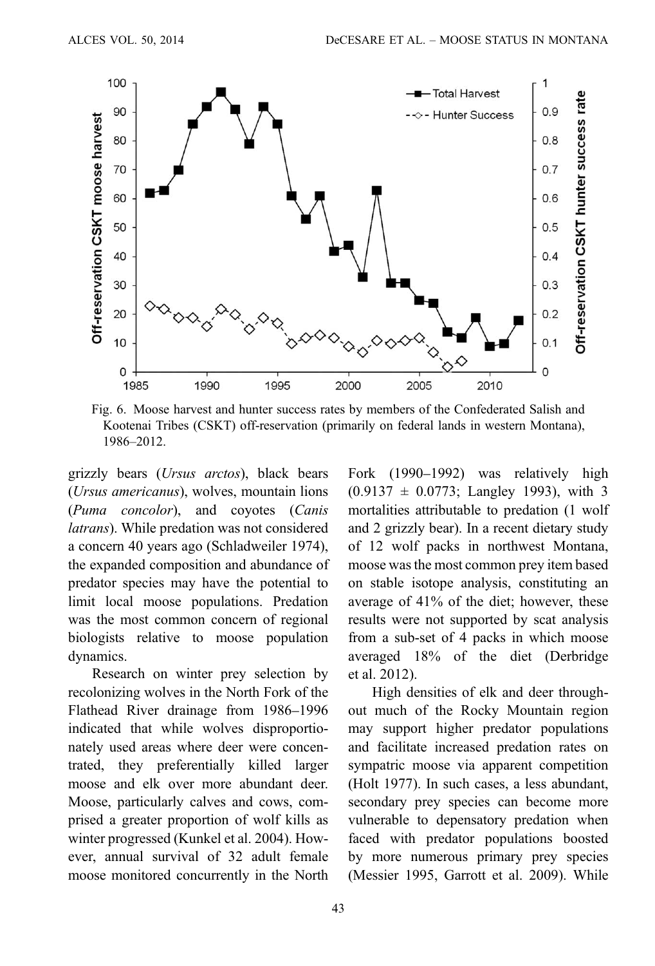<span id="page-8-0"></span>

Fig. 6. Moose harvest and hunter success rates by members of the Confederated Salish and Kootenai Tribes (CSKT) off-reservation (primarily on federal lands in western Montana), 1986–2012.

grizzly bears (Ursus arctos), black bears (Ursus americanus), wolves, mountain lions (Puma concolor), and coyotes (Canis latrans). While predation was not considered a concern 40 years ago (Schladweiler 1974), the expanded composition and abundance of predator species may have the potential to limit local moose populations. Predation was the most common concern of regional biologists relative to moose population dynamics.

Research on winter prey selection by recolonizing wolves in the North Fork of the Flathead River drainage from 1986–1996 indicated that while wolves disproportionately used areas where deer were concentrated, they preferentially killed larger moose and elk over more abundant deer. Moose, particularly calves and cows, comprised a greater proportion of wolf kills as winter progressed (Kunkel et al. 2004). However, annual survival of 32 adult female moose monitored concurrently in the North Fork (1990–1992) was relatively high  $(0.9137 \pm 0.0773$ ; Langley 1993), with 3 mortalities attributable to predation (1 wolf and 2 grizzly bear). In a recent dietary study of 12 wolf packs in northwest Montana, moose was the most common prey item based on stable isotope analysis, constituting an average of 41% of the diet; however, these results were not supported by scat analysis from a sub-set of 4 packs in which moose averaged 18% of the diet (Derbridge et al. 2012).

High densities of elk and deer throughout much of the Rocky Mountain region may support higher predator populations and facilitate increased predation rates on sympatric moose via apparent competition (Holt 1977). In such cases, a less abundant, secondary prey species can become more vulnerable to depensatory predation when faced with predator populations boosted by more numerous primary prey species (Messier 1995, Garrott et al. 2009). While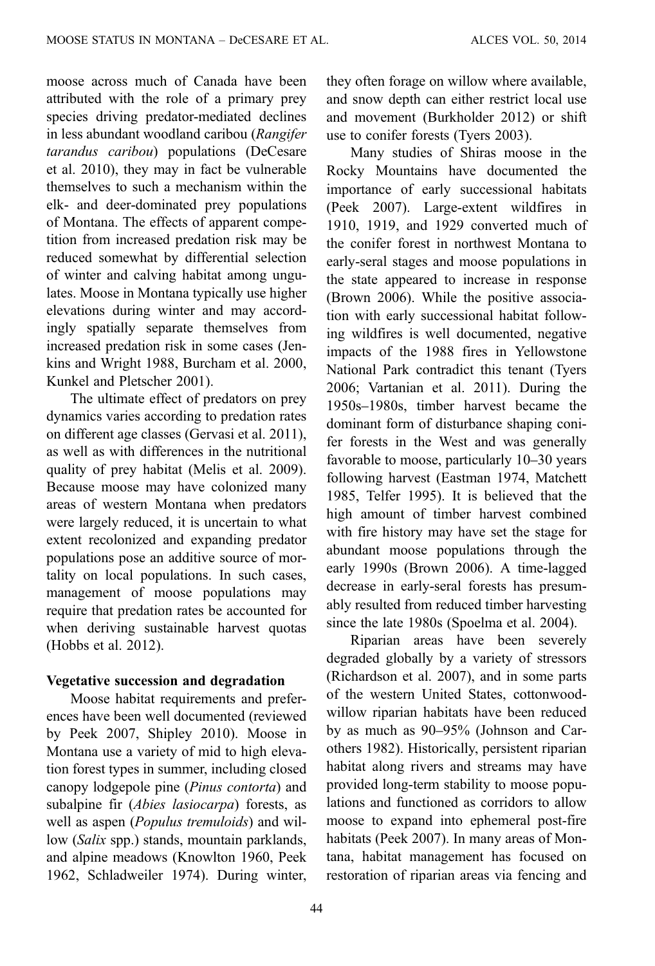moose across much of Canada have been attributed with the role of a primary prey species driving predator-mediated declines in less abundant woodland caribou (Rangifer tarandus caribou) populations (DeCesare et al. 2010), they may in fact be vulnerable themselves to such a mechanism within the elk- and deer-dominated prey populations of Montana. The effects of apparent competition from increased predation risk may be reduced somewhat by differential selection of winter and calving habitat among ungulates. Moose in Montana typically use higher elevations during winter and may accordingly spatially separate themselves from increased predation risk in some cases (Jenkins and Wright 1988, Burcham et al. 2000, Kunkel and Pletscher 2001).

The ultimate effect of predators on prey dynamics varies according to predation rates on different age classes (Gervasi et al. 2011), as well as with differences in the nutritional quality of prey habitat (Melis et al. 2009). Because moose may have colonized many areas of western Montana when predators were largely reduced, it is uncertain to what extent recolonized and expanding predator populations pose an additive source of mortality on local populations. In such cases, management of moose populations may require that predation rates be accounted for when deriving sustainable harvest quotas (Hobbs et al. 2012).

### Vegetative succession and degradation

Moose habitat requirements and preferences have been well documented (reviewed by Peek 2007, Shipley 2010). Moose in Montana use a variety of mid to high elevation forest types in summer, including closed canopy lodgepole pine (Pinus contorta) and subalpine fir (Abies lasiocarpa) forests, as well as aspen (Populus tremuloids) and willow (Salix spp.) stands, mountain parklands, and alpine meadows (Knowlton 1960, Peek 1962, Schladweiler 1974). During winter, they often forage on willow where available, and snow depth can either restrict local use and movement (Burkholder 2012) or shift use to conifer forests (Tyers 2003).

Many studies of Shiras moose in the Rocky Mountains have documented the importance of early successional habitats (Peek 2007). Large-extent wildfires in 1910, 1919, and 1929 converted much of the conifer forest in northwest Montana to early-seral stages and moose populations in the state appeared to increase in response (Brown 2006). While the positive association with early successional habitat following wildfires is well documented, negative impacts of the 1988 fires in Yellowstone National Park contradict this tenant (Tyers 2006; Vartanian et al. 2011). During the 1950s–1980s, timber harvest became the dominant form of disturbance shaping conifer forests in the West and was generally favorable to moose, particularly 10–30 years following harvest (Eastman 1974, Matchett 1985, Telfer 1995). It is believed that the high amount of timber harvest combined with fire history may have set the stage for abundant moose populations through the early 1990s (Brown 2006). A time-lagged decrease in early-seral forests has presumably resulted from reduced timber harvesting since the late 1980s (Spoelma et al. 2004).

Riparian areas have been severely degraded globally by a variety of stressors (Richardson et al. 2007), and in some parts of the western United States, cottonwoodwillow riparian habitats have been reduced by as much as 90–95% (Johnson and Carothers 1982). Historically, persistent riparian habitat along rivers and streams may have provided long-term stability to moose populations and functioned as corridors to allow moose to expand into ephemeral post-fire habitats (Peek 2007). In many areas of Montana, habitat management has focused on restoration of riparian areas via fencing and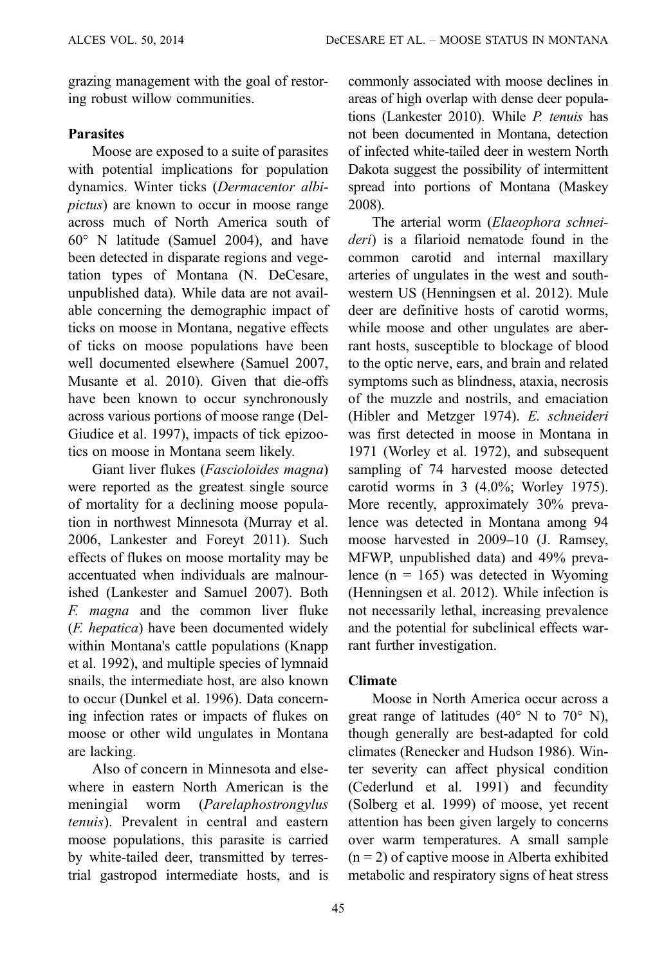grazing management with the goal of restoring robust willow communities.

## **Parasites**

Moose are exposed to a suite of parasites with potential implications for population dynamics. Winter ticks (Dermacentor albipictus) are known to occur in moose range across much of North America south of 60° N latitude (Samuel 2004), and have been detected in disparate regions and vegetation types of Montana (N. DeCesare, unpublished data). While data are not available concerning the demographic impact of ticks on moose in Montana, negative effects of ticks on moose populations have been well documented elsewhere (Samuel 2007, Musante et al. 2010). Given that die-offs have been known to occur synchronously across various portions of moose range (Del-Giudice et al. 1997), impacts of tick epizootics on moose in Montana seem likely.

Giant liver flukes (Fascioloides magna) were reported as the greatest single source of mortality for a declining moose population in northwest Minnesota (Murray et al. 2006, Lankester and Foreyt 2011). Such effects of flukes on moose mortality may be accentuated when individuals are malnourished (Lankester and Samuel 2007). Both F. magna and the common liver fluke (F. hepatica) have been documented widely within Montana's cattle populations (Knapp et al. 1992), and multiple species of lymnaid snails, the intermediate host, are also known to occur (Dunkel et al. 1996). Data concerning infection rates or impacts of flukes on moose or other wild ungulates in Montana are lacking.

Also of concern in Minnesota and elsewhere in eastern North American is the meningial worm (Parelaphostrongylus tenuis). Prevalent in central and eastern moose populations, this parasite is carried by white-tailed deer, transmitted by terrestrial gastropod intermediate hosts, and is commonly associated with moose declines in areas of high overlap with dense deer populations (Lankester 2010). While P. tenuis has not been documented in Montana, detection of infected white-tailed deer in western North Dakota suggest the possibility of intermittent spread into portions of Montana (Maskey 2008).

The arterial worm (Elaeophora schneideri) is a filarioid nematode found in the common carotid and internal maxillary arteries of ungulates in the west and southwestern US (Henningsen et al. 2012). Mule deer are definitive hosts of carotid worms, while moose and other ungulates are aberrant hosts, susceptible to blockage of blood to the optic nerve, ears, and brain and related symptoms such as blindness, ataxia, necrosis of the muzzle and nostrils, and emaciation (Hibler and Metzger 1974). E. schneideri was first detected in moose in Montana in 1971 (Worley et al. 1972), and subsequent sampling of 74 harvested moose detected carotid worms in 3 (4.0%; Worley 1975). More recently, approximately 30% prevalence was detected in Montana among 94 moose harvested in 2009–10 (J. Ramsey, MFWP, unpublished data) and 49% prevalence  $(n = 165)$  was detected in Wyoming (Henningsen et al. 2012). While infection is not necessarily lethal, increasing prevalence and the potential for subclinical effects warrant further investigation.

## Climate

Moose in North America occur across a great range of latitudes  $(40^{\circ} \text{ N to } 70^{\circ} \text{ N})$ , though generally are best-adapted for cold climates (Renecker and Hudson 1986). Winter severity can affect physical condition (Cederlund et al. 1991) and fecundity (Solberg et al. 1999) of moose, yet recent attention has been given largely to concerns over warm temperatures. A small sample  $(n = 2)$  of captive moose in Alberta exhibited metabolic and respiratory signs of heat stress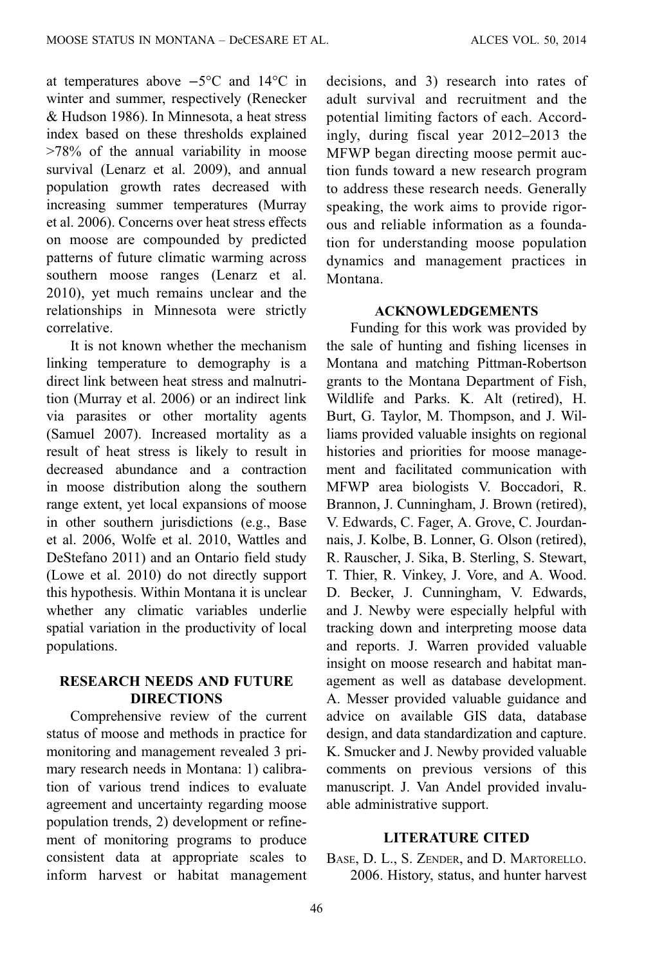at temperatures above −5°C and 14°C in winter and summer, respectively (Renecker & Hudson 1986). In Minnesota, a heat stress index based on these thresholds explained >78% of the annual variability in moose survival (Lenarz et al. 2009), and annual population growth rates decreased with increasing summer temperatures (Murray et al. 2006). Concerns over heat stress effects on moose are compounded by predicted patterns of future climatic warming across southern moose ranges (Lenarz et al. 2010), yet much remains unclear and the relationships in Minnesota were strictly correlative.

It is not known whether the mechanism linking temperature to demography is a direct link between heat stress and malnutrition (Murray et al. 2006) or an indirect link via parasites or other mortality agents (Samuel 2007). Increased mortality as a result of heat stress is likely to result in decreased abundance and a contraction in moose distribution along the southern range extent, yet local expansions of moose in other southern jurisdictions (e.g., Base et al. 2006, Wolfe et al. 2010, Wattles and DeStefano 2011) and an Ontario field study (Lowe et al. 2010) do not directly support this hypothesis. Within Montana it is unclear whether any climatic variables underlie spatial variation in the productivity of local populations.

## RESEARCH NEEDS AND FUTURE DIRECTIONS

Comprehensive review of the current status of moose and methods in practice for monitoring and management revealed 3 primary research needs in Montana: 1) calibration of various trend indices to evaluate agreement and uncertainty regarding moose population trends, 2) development or refinement of monitoring programs to produce consistent data at appropriate scales to inform harvest or habitat management decisions, and 3) research into rates of adult survival and recruitment and the potential limiting factors of each. Accordingly, during fiscal year 2012–2013 the MFWP began directing moose permit auction funds toward a new research program to address these research needs. Generally speaking, the work aims to provide rigorous and reliable information as a foundation for understanding moose population dynamics and management practices in Montana.

# ACKNOWLEDGEMENTS

Funding for this work was provided by the sale of hunting and fishing licenses in Montana and matching Pittman-Robertson grants to the Montana Department of Fish, Wildlife and Parks. K. Alt (retired), H. Burt, G. Taylor, M. Thompson, and J. Williams provided valuable insights on regional histories and priorities for moose management and facilitated communication with MFWP area biologists V. Boccadori, R. Brannon, J. Cunningham, J. Brown (retired), V. Edwards, C. Fager, A. Grove, C. Jourdannais, J. Kolbe, B. Lonner, G. Olson (retired), R. Rauscher, J. Sika, B. Sterling, S. Stewart, T. Thier, R. Vinkey, J. Vore, and A. Wood. D. Becker, J. Cunningham, V. Edwards, and J. Newby were especially helpful with tracking down and interpreting moose data and reports. J. Warren provided valuable insight on moose research and habitat management as well as database development. A. Messer provided valuable guidance and advice on available GIS data, database design, and data standardization and capture. K. Smucker and J. Newby provided valuable comments on previous versions of this manuscript. J. Van Andel provided invaluable administrative support.

## LITERATURE CITED

BASE, D. L., S. ZENDER, and D. MARTORELLO. 2006. History, status, and hunter harvest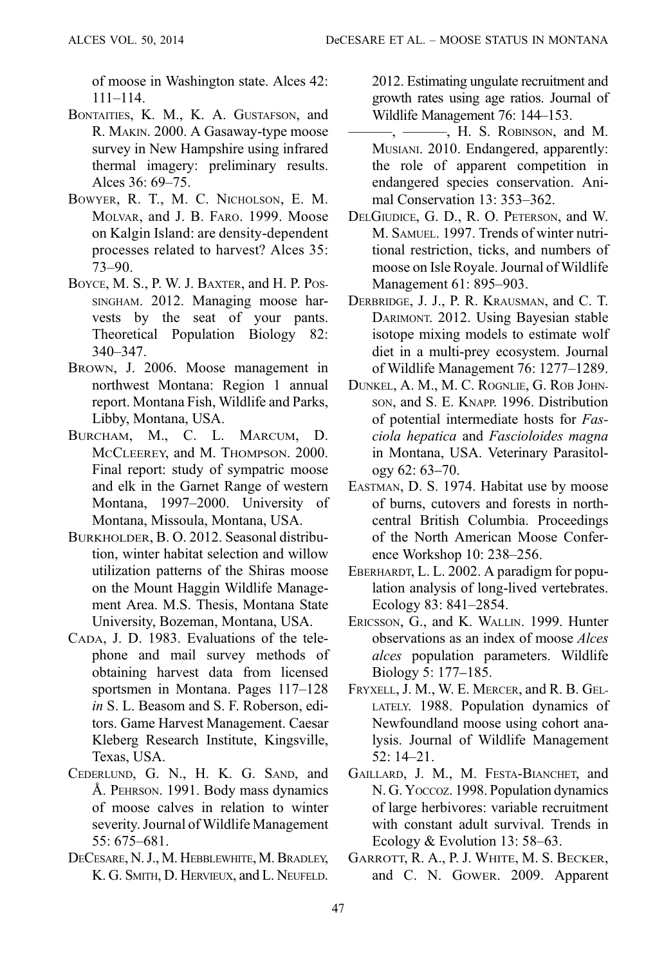of moose in Washington state. Alces 42: 111–114.

- BONTAITIES, K. M., K. A. GUSTAFSON, and R. MAKIN. 2000. A Gasaway-type moose survey in New Hampshire using infrared thermal imagery: preliminary results. Alces 36: 69–75.
- BOWYER, R. T., M. C. NICHOLSON, E. M. MOLVAR, and J. B. FARO. 1999. Moose on Kalgin Island: are density-dependent processes related to harvest? Alces 35: 73–90.
- BOYCE, M. S., P. W. J. BAXTER, and H. P. POS-SINGHAM. 2012. Managing moose harvests by the seat of your pants. Theoretical Population Biology 82: 340–347.
- BROWN, J. 2006. Moose management in northwest Montana: Region 1 annual report. Montana Fish, Wildlife and Parks, Libby, Montana, USA.
- BURCHAM, M., C. L. MARCUM, D. MCCLEEREY, and M. THOMPSON. 2000. Final report: study of sympatric moose and elk in the Garnet Range of western Montana, 1997–2000. University of Montana, Missoula, Montana, USA.
- BURKHOLDER, B. O. 2012. Seasonal distribution, winter habitat selection and willow utilization patterns of the Shiras moose on the Mount Haggin Wildlife Management Area. M.S. Thesis, Montana State University, Bozeman, Montana, USA.
- CADA, J. D. 1983. Evaluations of the telephone and mail survey methods of obtaining harvest data from licensed sportsmen in Montana. Pages 117–128 in S. L. Beasom and S. F. Roberson, editors. Game Harvest Management. Caesar Kleberg Research Institute, Kingsville, Texas, USA.
- CEDERLUND, G. N., H. K. G. SAND, and Å. PEHRSON. 1991. Body mass dynamics of moose calves in relation to winter severity. Journal of Wildlife Management  $55.675 - 681$
- DECESARE, N. J., M. HEBBLEWHITE, M. BRADLEY, K. G. SMITH, D. HERVIEUX, and L. NEUFELD.

2012. Estimating ungulate recruitment and growth rates using age ratios. Journal of Wildlife Management 76: 144–153.

- ———, ———, H. S. ROBINSON, and M. MUSIANI. 2010. Endangered, apparently: the role of apparent competition in endangered species conservation. Animal Conservation 13: 353–362.
- DELGIUDICE, G. D., R. O. PETERSON, and W. M. SAMUEL. 1997. Trends of winter nutritional restriction, ticks, and numbers of moose on Isle Royale. Journal of Wildlife Management 61: 895–903.
- DERBRIDGE, J. J., P. R. KRAUSMAN, and C. T. DARIMONT. 2012. Using Bayesian stable isotope mixing models to estimate wolf diet in a multi-prey ecosystem. Journal of Wildlife Management 76: 1277–1289.
- DUNKEL, A. M., M. C. ROGNLIE, G. ROB JOHN-SON, and S. E. KNAPP. 1996. Distribution of potential intermediate hosts for Fasciola hepatica and Fascioloides magna in Montana, USA. Veterinary Parasitology 62: 63–70.
- EASTMAN, D. S. 1974. Habitat use by moose of burns, cutovers and forests in northcentral British Columbia. Proceedings of the North American Moose Conference Workshop 10: 238–256.
- EBERHARDT, L. L. 2002. A paradigm for population analysis of long-lived vertebrates. Ecology 83: 841–2854.
- ERICSSON, G., and K. WALLIN. 1999. Hunter observations as an index of moose Alces alces population parameters. Wildlife Biology 5: 177–185.
- FRYXELL, J. M., W. E. MERCER, and R. B. GEL-LATELY. 1988. Population dynamics of Newfoundland moose using cohort analysis. Journal of Wildlife Management 52: 14–21.
- GAILLARD, J. M., M. FESTA-BIANCHET, and N. G. Yoccoz. 1998. Population dynamics of large herbivores: variable recruitment with constant adult survival. Trends in Ecology & Evolution 13: 58–63.
- GARROTT, R. A., P. J. WHITE, M. S. BECKER, and C. N. GOWER. 2009. Apparent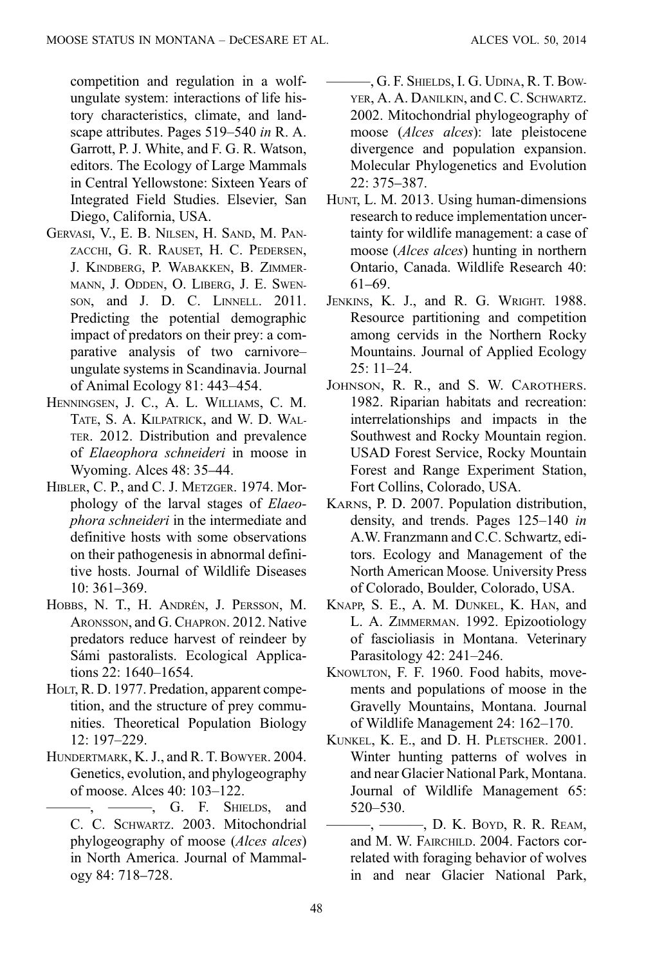competition and regulation in a wolfungulate system: interactions of life history characteristics, climate, and landscape attributes. Pages 519–540 in R. A. Garrott, P. J. White, and F. G. R. Watson, editors. The Ecology of Large Mammals in Central Yellowstone: Sixteen Years of Integrated Field Studies. Elsevier, San Diego, California, USA.

- GERVASI, V., E. B. NILSEN, H. SAND, M. PAN-ZACCHI, G. R. RAUSET, H. C. PEDERSEN, J. KINDBERG, P. WABAKKEN, B. ZIMMER-MANN, J. ODDEN, O. LIBERG, J. E. SWEN-SON, and J. D. C. LINNELL. 2011. Predicting the potential demographic impact of predators on their prey: a comparative analysis of two carnivore– ungulate systems in Scandinavia. Journal of Animal Ecology 81: 443–454.
- HENNINGSEN, J. C., A. L. WILLIAMS, C. M. TATE, S. A. KILPATRICK, and W. D. WAL-TER. 2012. Distribution and prevalence of Elaeophora schneideri in moose in Wyoming. Alces 48: 35–44.
- HIBLER, C. P., and C. J. METZGER. 1974. Morphology of the larval stages of Elaeophora schneideri in the intermediate and definitive hosts with some observations on their pathogenesis in abnormal definitive hosts. Journal of Wildlife Diseases 10: 361–369.
- HOBBS, N. T., H. ANDRÉN, J. PERSSON, M. ARONSSON, and G. CHAPRON. 2012. Native predators reduce harvest of reindeer by Sámi pastoralists. Ecological Applications 22: 1640–1654.
- HOLT, R. D. 1977. Predation, apparent competition, and the structure of prey communities. Theoretical Population Biology 12: 197–229.
- HUNDERTMARK, K. J., and R. T. BOWYER. 2004. Genetics, evolution, and phylogeography of moose. Alces 40: 103–122.
	- $-$ ,  $-$ ,  $G$ . F. SHIELDS, and C. C. SCHWARTZ. 2003. Mitochondrial phylogeography of moose (Alces alces) in North America. Journal of Mammalogy 84: 718–728.
- ———, G. F. SHIELDS, I. G. UDINA, R. T. BOW-YER, A. A. DANILKIN, and C. C. SCHWARTZ. 2002. Mitochondrial phylogeography of moose (Alces alces): late pleistocene divergence and population expansion. Molecular Phylogenetics and Evolution 22: 375–387.
- HUNT, L. M. 2013. Using human-dimensions research to reduce implementation uncertainty for wildlife management: a case of moose (Alces alces) hunting in northern Ontario, Canada. Wildlife Research 40: 61–69.
- JENKINS, K. J., and R. G. WRIGHT. 1988. Resource partitioning and competition among cervids in the Northern Rocky Mountains. Journal of Applied Ecology 25: 11–24.
- JOHNSON, R. R., and S. W. CAROTHERS. 1982. Riparian habitats and recreation: interrelationships and impacts in the Southwest and Rocky Mountain region. USAD Forest Service, Rocky Mountain Forest and Range Experiment Station, Fort Collins, Colorado, USA.
- KARNS, P. D. 2007. Population distribution, density, and trends. Pages 125–140 in A.W. Franzmann and C.C. Schwartz, editors. Ecology and Management of the North American Moose. University Press of Colorado, Boulder, Colorado, USA.
- KNAPP, S. E., A. M. DUNKEL, K. HAN, and L. A. ZIMMERMAN. 1992. Epizootiology of fascioliasis in Montana. Veterinary Parasitology 42: 241–246.
- KNOWLTON, F. F. 1960. Food habits, movements and populations of moose in the Gravelly Mountains, Montana. Journal of Wildlife Management 24: 162–170.
- KUNKEL, K. E., and D. H. PLETSCHER. 2001. Winter hunting patterns of wolves in and near Glacier National Park, Montana. Journal of Wildlife Management 65: 520–530.
- ———, ———, D. K. BOYD, R. R. REAM, and M. W. FAIRCHILD. 2004. Factors correlated with foraging behavior of wolves in and near Glacier National Park,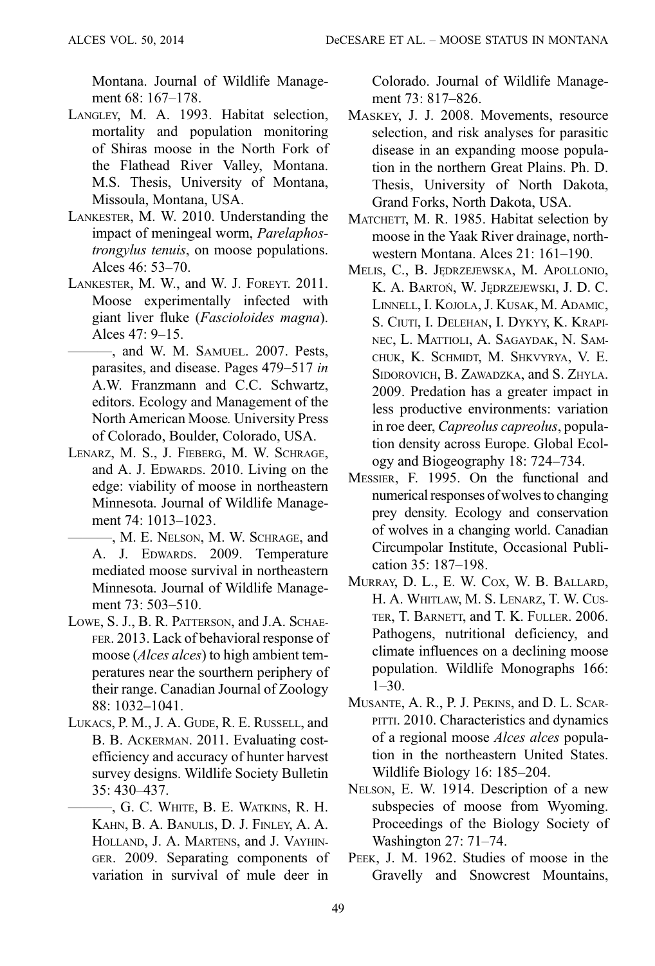Montana. Journal of Wildlife Management 68: 167–178.

- LANGLEY, M. A. 1993. Habitat selection, mortality and population monitoring of Shiras moose in the North Fork of the Flathead River Valley, Montana. M.S. Thesis, University of Montana, Missoula, Montana, USA.
- LANKESTER, M. W. 2010. Understanding the impact of meningeal worm, Parelaphostrongylus tenuis, on moose populations. Alces 46: 53–70.
- LANKESTER, M. W., and W. J. FOREYT. 2011. Moose experimentally infected with giant liver fluke (Fascioloides magna). Alces 47: 9–15.
	- ———, and W. M. SAMUEL. 2007. Pests, parasites, and disease. Pages 479–517 in A.W. Franzmann and C.C. Schwartz, editors. Ecology and Management of the North American Moose. University Press of Colorado, Boulder, Colorado, USA.
- LENARZ, M. S., J. FIEBERG, M. W. SCHRAGE, and A. J. EDWARDS. 2010. Living on the edge: viability of moose in northeastern Minnesota. Journal of Wildlife Management 74: 1013–1023.
	- ———, M. E. NELSON, M. W. SCHRAGE, and A. J. EDWARDS. 2009. Temperature mediated moose survival in northeastern Minnesota. Journal of Wildlife Management 73: 503–510.
- LOWE, S. J., B. R. PATTERSON, and J.A. SCHAE-FER. 2013. Lack of behavioral response of moose (*Alces alces*) to high ambient temperatures near the sourthern periphery of their range. Canadian Journal of Zoology 88: 1032–1041.
- LUKACS, P. M., J. A. GUDE, R. E. RUSSELL, and B. B. ACKERMAN. 2011. Evaluating costefficiency and accuracy of hunter harvest survey designs. Wildlife Society Bulletin 35: 430–437.
	- ———, G. C. WHITE, B. E. WATKINS, R. H. KAHN, B. A. BANULIS, D. J. FINLEY, A. A. HOLLAND, J. A. MARTENS, and J. VAYHIN-GER. 2009. Separating components of variation in survival of mule deer in

Colorado. Journal of Wildlife Management 73: 817–826.

- MASKEY, J. J. 2008. Movements, resource selection, and risk analyses for parasitic disease in an expanding moose population in the northern Great Plains. Ph. D. Thesis, University of North Dakota, Grand Forks, North Dakota, USA.
- MATCHETT, M. R. 1985. Habitat selection by moose in the Yaak River drainage, northwestern Montana. Alces 21: 161–190.
- MELIS, C., B. JĘDRZEJEWSKA, M. APOLLONIO, K. A. BARTOŃ, W. JĘDRZEJEWSKI, J. D. C. LINNELL, I. KOJOLA, J. KUSAK, M. ADAMIC, S. CIUTI, I. DELEHAN, I. DYKYY, K. KRAPI-NEC, L. MATTIOLI, A. SAGAYDAK, N. SAM-CHUK, K. SCHMIDT, M. SHKVYRYA, V. E. SIDOROVICH, B. ZAWADZKA, and S. ZHYLA. 2009. Predation has a greater impact in less productive environments: variation in roe deer, Capreolus capreolus, population density across Europe. Global Ecology and Biogeography 18: 724–734.
- MESSIER, F. 1995. On the functional and numerical responses of wolves to changing prey density. Ecology and conservation of wolves in a changing world. Canadian Circumpolar Institute, Occasional Publication 35: 187–198.
- MURRAY, D. L., E. W. COX, W. B. BALLARD, H. A. WHITLAW, M. S. LENARZ, T. W. CUS-TER, T. BARNETT, and T. K. FULLER. 2006. Pathogens, nutritional deficiency, and climate influences on a declining moose population. Wildlife Monographs 166:  $1-30.$
- MUSANTE, A. R., P. J. PEKINS, and D. L. SCAR-PITTI. 2010. Characteristics and dynamics of a regional moose Alces alces population in the northeastern United States. Wildlife Biology 16: 185–204.
- NELSON, E. W. 1914. Description of a new subspecies of moose from Wyoming. Proceedings of the Biology Society of Washington 27: 71–74.
- PEEK, J. M. 1962. Studies of moose in the Gravelly and Snowcrest Mountains,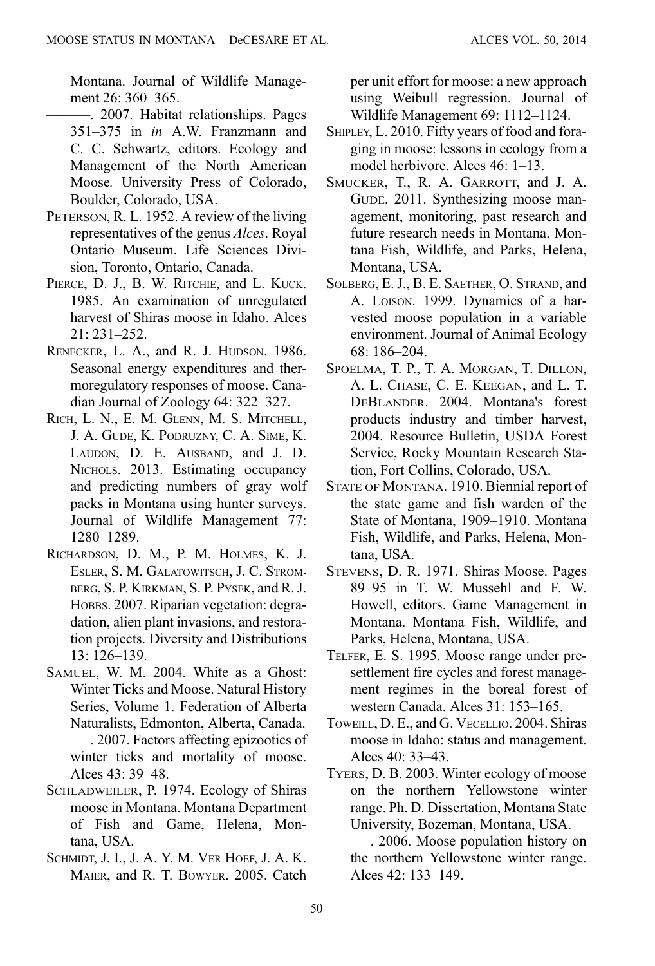Montana. Journal of Wildlife Management 26: 360–365.

- ———. 2007. Habitat relationships. Pages 351–375 in in A.W. Franzmann and C. C. Schwartz, editors. Ecology and Management of the North American Moose. University Press of Colorado, Boulder, Colorado, USA.
- PETERSON, R. L. 1952. A review of the living representatives of the genus Alces. Royal Ontario Museum. Life Sciences Division, Toronto, Ontario, Canada.
- PIERCE, D. J., B. W. RITCHIE, and L. KUCK. 1985. An examination of unregulated harvest of Shiras moose in Idaho. Alces 21: 231–252.
- RENECKER, L. A., and R. J. HUDSON. 1986. Seasonal energy expenditures and thermoregulatory responses of moose. Canadian Journal of Zoology 64: 322–327.
- RICH, L. N., E. M. GLENN, M. S. MITCHELL, J. A. GUDE, K. PODRUZNY, C. A. SIME, K. LAUDON, D. E. AUSBAND, and J. D. NICHOLS. 2013. Estimating occupancy and predicting numbers of gray wolf packs in Montana using hunter surveys. Journal of Wildlife Management 77: 1280–1289.
- RICHARDSON, D. M., P. M. HOLMES, K. J. ESLER, S. M. GALATOWITSCH, J. C. STROM-BERG, S. P. KIRKMAN, S. P. PYSEK, and R. J. HOBBS. 2007. Riparian vegetation: degradation, alien plant invasions, and restoration projects. Diversity and Distributions 13: 126–139.
- SAMUEL, W. M. 2004. White as a Ghost: Winter Ticks and Moose. Natural History Series, Volume 1. Federation of Alberta Naturalists, Edmonton, Alberta, Canada.
	- ———. 2007. Factors affecting epizootics of winter ticks and mortality of moose. Alces 43: 39–48.
- SCHLADWEILER, P. 1974. Ecology of Shiras moose in Montana. Montana Department of Fish and Game, Helena, Montana, USA.
- SCHMIDT, J. I., J. A. Y. M. VER HOEF, J. A. K. MAIER, and R. T. BOWYER. 2005. Catch

per unit effort for moose: a new approach using Weibull regression. Journal of Wildlife Management 69: 1112–1124.

- SHIPLEY, L. 2010. Fifty years of food and foraging in moose: lessons in ecology from a model herbivore. Alces 46: 1–13.
- SMUCKER, T., R. A. GARROTT, and J. A. GUDE. 2011. Synthesizing moose management, monitoring, past research and future research needs in Montana. Montana Fish, Wildlife, and Parks, Helena, Montana, USA.
- SOLBERG, E. J., B. E. SAETHER, O. STRAND, and A. LOISON. 1999. Dynamics of a harvested moose population in a variable environment. Journal of Animal Ecology 68: 186–204.
- SPOELMA, T. P., T. A. MORGAN, T. DILLON, A. L. CHASE, C. E. KEEGAN, and L. T. DEBLANDER. 2004. Montana's forest products industry and timber harvest, 2004. Resource Bulletin, USDA Forest Service, Rocky Mountain Research Station, Fort Collins, Colorado, USA.
- STATE OF MONTANA. 1910. Biennial report of the state game and fish warden of the State of Montana, 1909–1910. Montana Fish, Wildlife, and Parks, Helena, Montana, USA.
- STEVENS, D. R. 1971. Shiras Moose. Pages 89–95 in T. W. Mussehl and F. W. Howell, editors. Game Management in Montana. Montana Fish, Wildlife, and Parks, Helena, Montana, USA.
- TELFER, E. S. 1995. Moose range under presettlement fire cycles and forest management regimes in the boreal forest of western Canada. Alces 31: 153–165.
- TOWEILL, D. E., and G. VECELLIO. 2004. Shiras moose in Idaho: status and management. Alces 40: 33–43.
- TYERS, D. B. 2003. Winter ecology of moose on the northern Yellowstone winter range. Ph. D. Dissertation, Montana State University, Bozeman, Montana, USA.
	- ———. 2006. Moose population history on the northern Yellowstone winter range. Alces 42: 133–149.